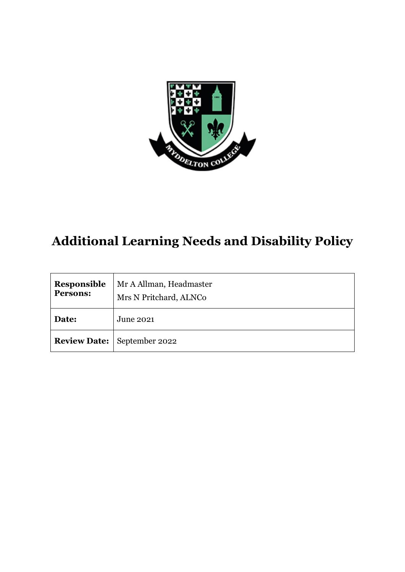

# **Additional Learning Needs and Disability Policy**

| Responsible<br>Persons: | Mr A Allman, Headmaster<br>Mrs N Pritchard, ALNCo |
|-------------------------|---------------------------------------------------|
| Date:                   | June 2021                                         |
|                         | <b>Review Date:</b>   September 2022              |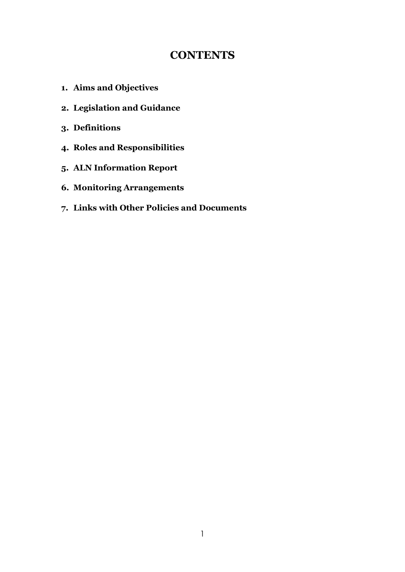# **CONTENTS**

- **1. Aims and Objectives**
- **2. Legislation and Guidance**
- **3. Definitions**
- **4. Roles and Responsibilities**
- **5. ALN Information Report**
- **6. Monitoring Arrangements**
- **7. Links with Other Policies and Documents**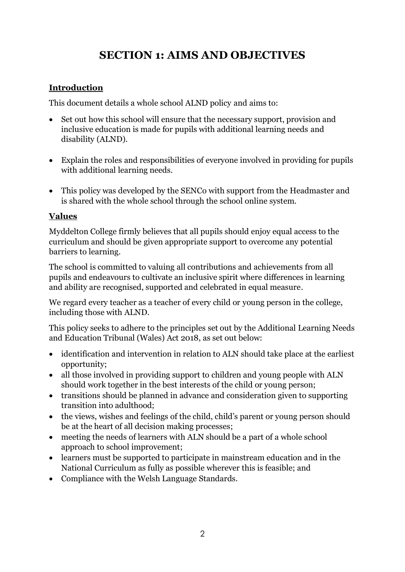# **SECTION 1: AIMS AND OBJECTIVES**

# **Introduction**

This document details a whole school ALND policy and aims to:

- Set out how this school will ensure that the necessary support, provision and inclusive education is made for pupils with additional learning needs and disability (ALND).
- Explain the roles and responsibilities of everyone involved in providing for pupils with additional learning needs.
- This policy was developed by the SENCo with support from the Headmaster and is shared with the whole school through the school online system.

# **Values**

Myddelton College firmly believes that all pupils should enjoy equal access to the curriculum and should be given appropriate support to overcome any potential barriers to learning.

The school is committed to valuing all contributions and achievements from all pupils and endeavours to cultivate an inclusive spirit where differences in learning and ability are recognised, supported and celebrated in equal measure.

We regard every teacher as a teacher of every child or young person in the college, including those with ALND.

This policy seeks to adhere to the principles set out by the Additional Learning Needs and Education Tribunal (Wales) Act 2018, as set out below:

- identification and intervention in relation to ALN should take place at the earliest opportunity;
- all those involved in providing support to children and young people with ALN should work together in the best interests of the child or young person;
- transitions should be planned in advance and consideration given to supporting transition into adulthood;
- the views, wishes and feelings of the child, child's parent or young person should be at the heart of all decision making processes;
- meeting the needs of learners with ALN should be a part of a whole school approach to school improvement;
- learners must be supported to participate in mainstream education and in the National Curriculum as fully as possible wherever this is feasible; and
- Compliance with the Welsh Language Standards.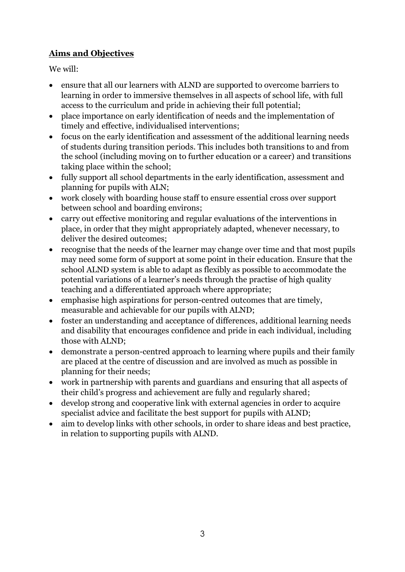# **Aims and Objectives**

We will:

- ensure that all our learners with ALND are supported to overcome barriers to learning in order to immersive themselves in all aspects of school life, with full access to the curriculum and pride in achieving their full potential;
- place importance on early identification of needs and the implementation of timely and effective, individualised interventions;
- focus on the early identification and assessment of the additional learning needs of students during transition periods. This includes both transitions to and from the school (including moving on to further education or a career) and transitions taking place within the school;
- fully support all school departments in the early identification, assessment and planning for pupils with ALN;
- work closely with boarding house staff to ensure essential cross over support between school and boarding environs;
- carry out effective monitoring and regular evaluations of the interventions in place, in order that they might appropriately adapted, whenever necessary, to deliver the desired outcomes;
- recognise that the needs of the learner may change over time and that most pupils may need some form of support at some point in their education. Ensure that the school ALND system is able to adapt as flexibly as possible to accommodate the potential variations of a learner's needs through the practise of high quality teaching and a differentiated approach where appropriate;
- emphasise high aspirations for person-centred outcomes that are timely, measurable and achievable for our pupils with ALND;
- foster an understanding and acceptance of differences, additional learning needs and disability that encourages confidence and pride in each individual, including those with ALND;
- demonstrate a person-centred approach to learning where pupils and their family are placed at the centre of discussion and are involved as much as possible in planning for their needs;
- work in partnership with parents and guardians and ensuring that all aspects of their child's progress and achievement are fully and regularly shared;
- develop strong and cooperative link with external agencies in order to acquire specialist advice and facilitate the best support for pupils with ALND;
- aim to develop links with other schools, in order to share ideas and best practice, in relation to supporting pupils with ALND.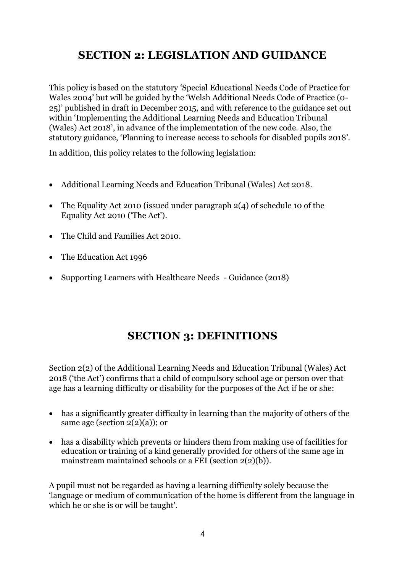# **SECTION 2: LEGISLATION AND GUIDANCE**

This policy is based on the statutory 'Special Educational Needs Code of Practice for Wales 2004' but will be guided by the 'Welsh Additional Needs Code of Practice (0- 25)' published in draft in December 2015, and with reference to the guidance set out within 'Implementing the Additional Learning Needs and Education Tribunal (Wales) Act 2018', in advance of the implementation of the new code. Also, the statutory guidance, 'Planning to increase access to schools for disabled pupils 2018'.

In addition, this policy relates to the following legislation:

- Additional Learning Needs and Education Tribunal (Wales) Act 2018.
- The Equality Act 2010 (issued under paragraph 2(4) of schedule 10 of the Equality Act 2010 ('The Act').
- The Child and Families Act 2010
- The Education Act 1996
- Supporting Learners with Healthcare Needs Guidance (2018)

# **SECTION 3: DEFINITIONS**

Section 2(2) of the Additional Learning Needs and Education Tribunal (Wales) Act 2018 ('the Act') confirms that a child of compulsory school age or person over that age has a learning difficulty or disability for the purposes of the Act if he or she:

- has a significantly greater difficulty in learning than the majority of others of the same age (section  $2(2)(a)$ ); or
- has a disability which prevents or hinders them from making use of facilities for education or training of a kind generally provided for others of the same age in mainstream maintained schools or a FEI (section 2(2)(b)).

A pupil must not be regarded as having a learning difficulty solely because the 'language or medium of communication of the home is different from the language in which he or she is or will be taught'.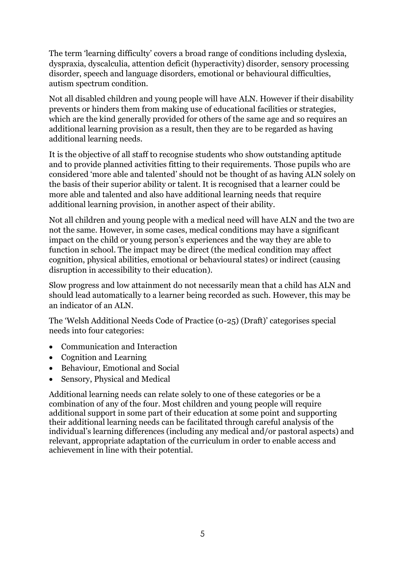The term 'learning difficulty' covers a broad range of conditions including dyslexia, dyspraxia, dyscalculia, attention deficit (hyperactivity) disorder, sensory processing disorder, speech and language disorders, emotional or behavioural difficulties, autism spectrum condition.

Not all disabled children and young people will have ALN. However if their disability prevents or hinders them from making use of educational facilities or strategies, which are the kind generally provided for others of the same age and so requires an additional learning provision as a result, then they are to be regarded as having additional learning needs.

It is the objective of all staff to recognise students who show outstanding aptitude and to provide planned activities fitting to their requirements. Those pupils who are considered 'more able and talented' should not be thought of as having ALN solely on the basis of their superior ability or talent. It is recognised that a learner could be more able and talented and also have additional learning needs that require additional learning provision, in another aspect of their ability.

Not all children and young people with a medical need will have ALN and the two are not the same. However, in some cases, medical conditions may have a significant impact on the child or young person's experiences and the way they are able to function in school. The impact may be direct (the medical condition may affect cognition, physical abilities, emotional or behavioural states) or indirect (causing disruption in accessibility to their education).

Slow progress and low attainment do not necessarily mean that a child has ALN and should lead automatically to a learner being recorded as such. However, this may be an indicator of an ALN.

The 'Welsh Additional Needs Code of Practice (0-25) (Draft)' categorises special needs into four categories:

- Communication and Interaction
- Cognition and Learning
- Behaviour, Emotional and Social
- Sensory, Physical and Medical

Additional learning needs can relate solely to one of these categories or be a combination of any of the four. Most children and young people will require additional support in some part of their education at some point and supporting their additional learning needs can be facilitated through careful analysis of the individual's learning differences (including any medical and/or pastoral aspects) and relevant, appropriate adaptation of the curriculum in order to enable access and achievement in line with their potential.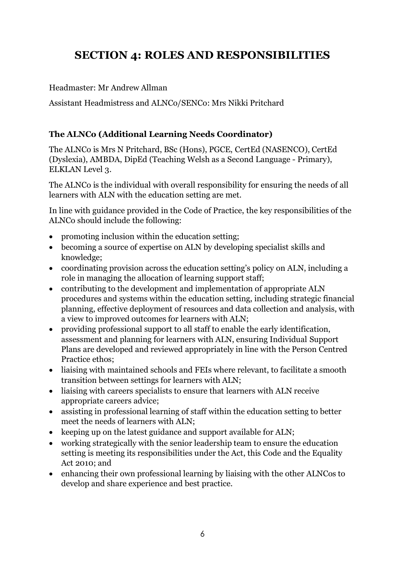# **SECTION 4: ROLES AND RESPONSIBILITIES**

# Headmaster: Mr Andrew Allman

Assistant Headmistress and ALNCo/SENCo: Mrs Nikki Pritchard

# **The ALNCo (Additional Learning Needs Coordinator)**

The ALNCo is Mrs N Pritchard, BSc (Hons), PGCE, CertEd (NASENCO), CertEd (Dyslexia), AMBDA, DipEd (Teaching Welsh as a Second Language - Primary), ELKLAN Level 3.

The ALNCo is the individual with overall responsibility for ensuring the needs of all learners with ALN with the education setting are met.

In line with guidance provided in the Code of Practice, the key responsibilities of the ALNCo should include the following:

- promoting inclusion within the education setting;
- becoming a source of expertise on ALN by developing specialist skills and knowledge;
- coordinating provision across the education setting's policy on ALN, including a role in managing the allocation of learning support staff;
- contributing to the development and implementation of appropriate ALN procedures and systems within the education setting, including strategic financial planning, effective deployment of resources and data collection and analysis, with a view to improved outcomes for learners with ALN;
- providing professional support to all staff to enable the early identification, assessment and planning for learners with ALN, ensuring Individual Support Plans are developed and reviewed appropriately in line with the Person Centred Practice ethos;
- liaising with maintained schools and FEIs where relevant, to facilitate a smooth transition between settings for learners with ALN;
- liaising with careers specialists to ensure that learners with ALN receive appropriate careers advice;
- assisting in professional learning of staff within the education setting to better meet the needs of learners with ALN;
- keeping up on the latest guidance and support available for ALN;
- working strategically with the senior leadership team to ensure the education setting is meeting its responsibilities under the Act, this Code and the Equality Act 2010; and
- enhancing their own professional learning by liaising with the other ALNCos to develop and share experience and best practice.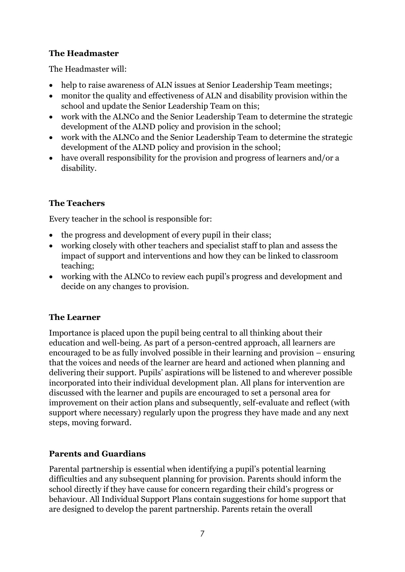# **The Headmaster**

The Headmaster will:

- help to raise awareness of ALN issues at Senior Leadership Team meetings;
- monitor the quality and effectiveness of ALN and disability provision within the school and update the Senior Leadership Team on this;
- work with the ALNCo and the Senior Leadership Team to determine the strategic development of the ALND policy and provision in the school;
- work with the ALNCo and the Senior Leadership Team to determine the strategic development of the ALND policy and provision in the school;
- have overall responsibility for the provision and progress of learners and/or a disability.

# **The Teachers**

Every teacher in the school is responsible for:

- the progress and development of every pupil in their class;
- working closely with other teachers and specialist staff to plan and assess the impact of support and interventions and how they can be linked to classroom teaching;
- working with the ALNCo to review each pupil's progress and development and decide on any changes to provision.

# **The Learner**

Importance is placed upon the pupil being central to all thinking about their education and well-being. As part of a person-centred approach, all learners are encouraged to be as fully involved possible in their learning and provision – ensuring that the voices and needs of the learner are heard and actioned when planning and delivering their support. Pupils' aspirations will be listened to and wherever possible incorporated into their individual development plan. All plans for intervention are discussed with the learner and pupils are encouraged to set a personal area for improvement on their action plans and subsequently, self-evaluate and reflect (with support where necessary) regularly upon the progress they have made and any next steps, moving forward.

# **Parents and Guardians**

Parental partnership is essential when identifying a pupil's potential learning difficulties and any subsequent planning for provision. Parents should inform the school directly if they have cause for concern regarding their child's progress or behaviour. All Individual Support Plans contain suggestions for home support that are designed to develop the parent partnership. Parents retain the overall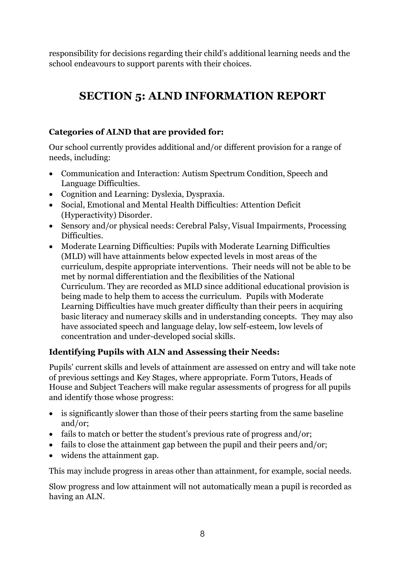responsibility for decisions regarding their child's additional learning needs and the school endeavours to support parents with their choices.

# **SECTION 5: ALND INFORMATION REPORT**

# **Categories of ALND that are provided for:**

Our school currently provides additional and/or different provision for a range of needs, including:

- Communication and Interaction: Autism Spectrum Condition, Speech and Language Difficulties.
- Cognition and Learning: Dyslexia, Dyspraxia.
- Social, Emotional and Mental Health Difficulties: Attention Deficit (Hyperactivity) Disorder.
- Sensory and/or physical needs: Cerebral Palsy, Visual Impairments, Processing Difficulties.
- Moderate Learning Difficulties: Pupils with Moderate Learning Difficulties (MLD) will have attainments below expected levels in most areas of the curriculum, despite appropriate interventions. Their needs will not be able to be met by normal differentiation and the flexibilities of the [National](https://www.specialeducationalneeds.co.uk/national-curriculum1.html)  [Curriculum.](https://www.specialeducationalneeds.co.uk/national-curriculum1.html) They are recorded as MLD since additional educational provision is being made to help them to access the curriculum. Pupils with Moderate Learning Difficulties have much greater difficulty than their peers in acquiring basic literacy and numeracy skills and in understanding concepts. They may also have associated speech and language delay, low self-esteem, low levels of concentration and under-developed [social skills.](https://www.specialeducationalneeds.co.uk/social-skills.html)

# **Identifying Pupils with ALN and Assessing their Needs:**

Pupils' current skills and levels of attainment are assessed on entry and will take note of previous settings and Key Stages, where appropriate. Form Tutors, Heads of House and Subject Teachers will make regular assessments of progress for all pupils and identify those whose progress:

- is significantly slower than those of their peers starting from the same baseline and/or;
- fails to match or better the student's previous rate of progress and/or;
- fails to close the attainment gap between the pupil and their peers and/or;
- widens the attainment gap.

This may include progress in areas other than attainment, for example, social needs.

Slow progress and low attainment will not automatically mean a pupil is recorded as having an ALN.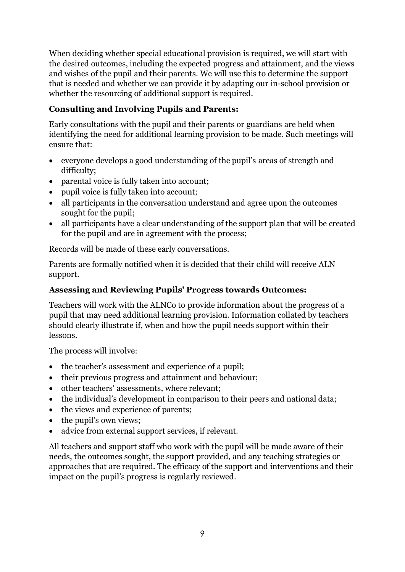When deciding whether special educational provision is required, we will start with the desired outcomes, including the expected progress and attainment, and the views and wishes of the pupil and their parents. We will use this to determine the support that is needed and whether we can provide it by adapting our in-school provision or whether the resourcing of additional support is required.

# **Consulting and Involving Pupils and Parents:**

Early consultations with the pupil and their parents or guardians are held when identifying the need for additional learning provision to be made. Such meetings will ensure that:

- everyone develops a good understanding of the pupil's areas of strength and difficulty;
- parental voice is fully taken into account;
- pupil voice is fully taken into account;
- all participants in the conversation understand and agree upon the outcomes sought for the pupil;
- all participants have a clear understanding of the support plan that will be created for the pupil and are in agreement with the process;

Records will be made of these early conversations.

Parents are formally notified when it is decided that their child will receive ALN support.

#### **Assessing and Reviewing Pupils' Progress towards Outcomes:**

Teachers will work with the ALNCo to provide information about the progress of a pupil that may need additional learning provision. Information collated by teachers should clearly illustrate if, when and how the pupil needs support within their lessons.

The process will involve:

- the teacher's assessment and experience of a pupil;
- their previous progress and attainment and behaviour;
- other teachers' assessments, where relevant;
- the individual's development in comparison to their peers and national data;
- the views and experience of parents;
- the pupil's own views;
- advice from external support services, if relevant.

All teachers and support staff who work with the pupil will be made aware of their needs, the outcomes sought, the support provided, and any teaching strategies or approaches that are required. The efficacy of the support and interventions and their impact on the pupil's progress is regularly reviewed.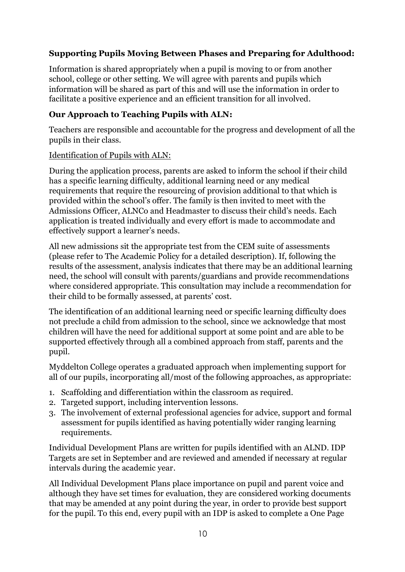# **Supporting Pupils Moving Between Phases and Preparing for Adulthood:**

Information is shared appropriately when a pupil is moving to or from another school, college or other setting. We will agree with parents and pupils which information will be shared as part of this and will use the information in order to facilitate a positive experience and an efficient transition for all involved.

#### **Our Approach to Teaching Pupils with ALN:**

Teachers are responsible and accountable for the progress and development of all the pupils in their class.

#### Identification of Pupils with ALN:

During the application process, parents are asked to inform the school if their child has a specific learning difficulty, additional learning need or any medical requirements that require the resourcing of provision additional to that which is provided within the school's offer. The family is then invited to meet with the Admissions Officer, ALNCo and Headmaster to discuss their child's needs. Each application is treated individually and every effort is made to accommodate and effectively support a learner's needs.

All new admissions sit the appropriate test from the CEM suite of assessments (please refer to The Academic Policy for a detailed description). If, following the results of the assessment, analysis indicates that there may be an additional learning need, the school will consult with parents/guardians and provide recommendations where considered appropriate. This consultation may include a recommendation for their child to be formally assessed, at parents' cost.

The identification of an additional learning need or specific learning difficulty does not preclude a child from admission to the school, since we acknowledge that most children will have the need for additional support at some point and are able to be supported effectively through all a combined approach from staff, parents and the pupil.

Myddelton College operates a graduated approach when implementing support for all of our pupils, incorporating all/most of the following approaches, as appropriate:

- 1. Scaffolding and differentiation within the classroom as required.
- 2. Targeted support, including intervention lessons.
- 3. The involvement of external professional agencies for advice, support and formal assessment for pupils identified as having potentially wider ranging learning requirements.

Individual Development Plans are written for pupils identified with an ALND. IDP Targets are set in September and are reviewed and amended if necessary at regular intervals during the academic year.

All Individual Development Plans place importance on pupil and parent voice and although they have set times for evaluation, they are considered working documents that may be amended at any point during the year, in order to provide best support for the pupil. To this end, every pupil with an IDP is asked to complete a One Page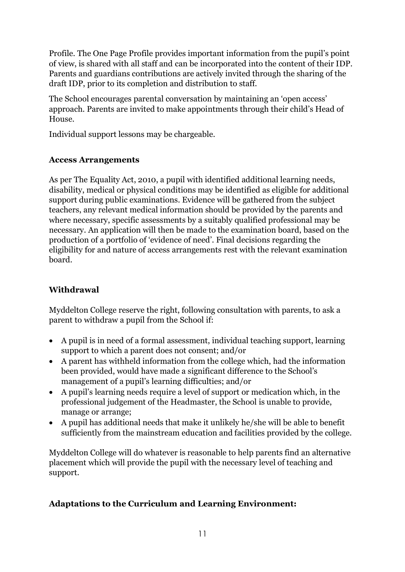Profile. The One Page Profile provides important information from the pupil's point of view, is shared with all staff and can be incorporated into the content of their IDP. Parents and guardians contributions are actively invited through the sharing of the draft IDP, prior to its completion and distribution to staff.

The School encourages parental conversation by maintaining an 'open access' approach. Parents are invited to make appointments through their child's Head of House.

Individual support lessons may be chargeable.

# **Access Arrangements**

As per The Equality Act, 2010, a pupil with identified additional learning needs, disability, medical or physical conditions may be identified as eligible for additional support during public examinations. Evidence will be gathered from the subject teachers, any relevant medical information should be provided by the parents and where necessary, specific assessments by a suitably qualified professional may be necessary. An application will then be made to the examination board, based on the production of a portfolio of 'evidence of need'. Final decisions regarding the eligibility for and nature of access arrangements rest with the relevant examination board.

# **Withdrawal**

Myddelton College reserve the right, following consultation with parents, to ask a parent to withdraw a pupil from the School if:

- A pupil is in need of a formal assessment, individual teaching support, learning support to which a parent does not consent; and/or
- A parent has withheld information from the college which, had the information been provided, would have made a significant difference to the School's management of a pupil's learning difficulties; and/or
- A pupil's learning needs require a level of support or medication which, in the professional judgement of the Headmaster, the School is unable to provide, manage or arrange;
- A pupil has additional needs that make it unlikely he/she will be able to benefit sufficiently from the mainstream education and facilities provided by the college.

Myddelton College will do whatever is reasonable to help parents find an alternative placement which will provide the pupil with the necessary level of teaching and support.

# **Adaptations to the Curriculum and Learning Environment:**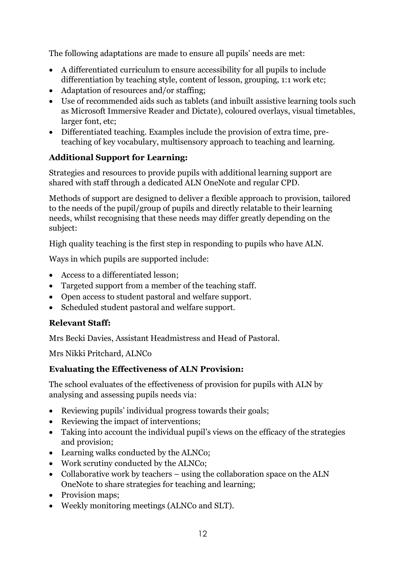The following adaptations are made to ensure all pupils' needs are met:

- A differentiated curriculum to ensure accessibility for all pupils to include differentiation by teaching style, content of lesson, grouping, 1:1 work etc;
- Adaptation of resources and/or staffing;
- Use of recommended aids such as tablets (and inbuilt assistive learning tools such as Microsoft Immersive Reader and Dictate), coloured overlays, visual timetables, larger font, etc;
- Differentiated teaching. Examples include the provision of extra time, preteaching of key vocabulary, multisensory approach to teaching and learning.

# **Additional Support for Learning:**

Strategies and resources to provide pupils with additional learning support are shared with staff through a dedicated ALN OneNote and regular CPD.

Methods of support are designed to deliver a flexible approach to provision, tailored to the needs of the pupil/group of pupils and directly relatable to their learning needs, whilst recognising that these needs may differ greatly depending on the subject:

High quality teaching is the first step in responding to pupils who have ALN.

Ways in which pupils are supported include:

- Access to a differentiated lesson;
- Targeted support from a member of the teaching staff.
- Open access to student pastoral and welfare support.
- Scheduled student pastoral and welfare support.

# **Relevant Staff:**

Mrs Becki Davies, Assistant Headmistress and Head of Pastoral.

Mrs Nikki Pritchard, ALNCo

# **Evaluating the Effectiveness of ALN Provision:**

The school evaluates of the effectiveness of provision for pupils with ALN by analysing and assessing pupils needs via:

- Reviewing pupils' individual progress towards their goals;
- Reviewing the impact of interventions;
- Taking into account the individual pupil's views on the efficacy of the strategies and provision;
- Learning walks conducted by the ALNCo;
- Work scrutiny conducted by the ALNCo;
- Collaborative work by teachers using the collaboration space on the ALN OneNote to share strategies for teaching and learning;
- Provision maps:
- Weekly monitoring meetings (ALNCo and SLT).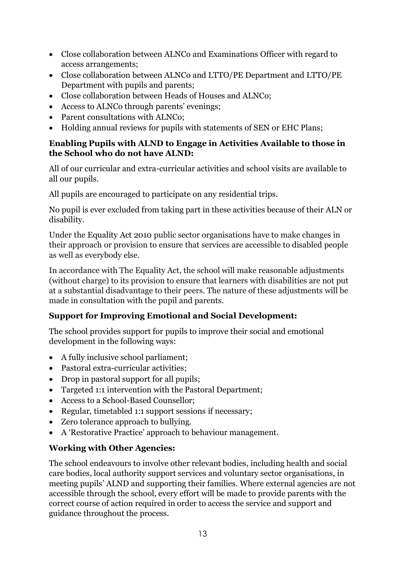- Close collaboration between ALNCo and Examinations Officer with regard to access arrangements;
- Close collaboration between ALNCo and LTTO/PE Department and LTTO/PE Department with pupils and parents;
- Close collaboration between Heads of Houses and ALNCo;
- Access to ALNCo through parents' evenings;
- Parent consultations with ALNCo;
- Holding annual reviews for pupils with statements of SEN or EHC Plans:

#### **Enabling Pupils with ALND to Engage in Activities Available to those in the School who do not have ALND:**

All of our curricular and extra-curricular activities and school visits are available to all our pupils.

All pupils are encouraged to participate on any residential trips.

No pupil is ever excluded from taking part in these activities because of their ALN or disability.

Under the [Equality](https://www.gov.uk/guidance/equality-act-2010-guidance) Act 2010 public sector organisations have to make changes in their approach or provision to ensure that services are accessible to disabled people as well as everybody else.

In accordance with The Equality Act, the school will make reasonable adjustments (without charge) to its provision to ensure that learners with disabilities are not put at a substantial disadvantage to their peers. The nature of these adjustments will be made in consultation with the pupil and parents.

# **Support for Improving Emotional and Social Development:**

The school provides support for pupils to improve their social and emotional development in the following ways:

- A fully inclusive school parliament;
- Pastoral extra-curricular activities;
- Drop in pastoral support for all pupils:
- Targeted 1:1 intervention with the Pastoral Department;
- Access to a School-Based Counsellor;
- Regular, timetabled 1:1 support sessions if necessary;
- Zero tolerance approach to bullying.
- A 'Restorative Practice' approach to behaviour management.

# **Working with Other Agencies:**

The school endeavours to involve other relevant bodies, including health and social care bodies, local authority support services and voluntary sector organisations, in meeting pupils' ALND and supporting their families. Where external agencies are not accessible through the school, every effort will be made to provide parents with the correct course of action required in order to access the service and support and guidance throughout the process.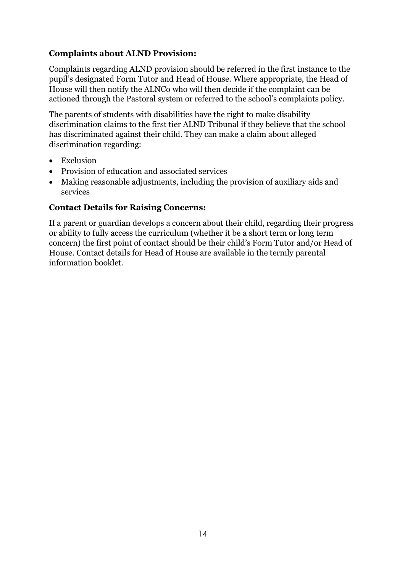#### **Complaints about ALND Provision:**

Complaints regarding ALND provision should be referred in the first instance to the pupil's designated Form Tutor and Head of House. Where appropriate, the Head of House will then notify the ALNCo who will then decide if the complaint can be actioned through the Pastoral system or referred to the school's complaints policy.

The parents of students with disabilities have the right to make disability discrimination claims to the first tier ALND Tribunal if they believe that the school has discriminated against their child. They can make a claim about alleged discrimination regarding:

- Exclusion
- Provision of education and associated services
- Making reasonable adjustments, including the provision of auxiliary aids and services

#### **Contact Details for Raising Concerns:**

If a parent or guardian develops a concern about their child, regarding their progress or ability to fully access the curriculum (whether it be a short term or long term concern) the first point of contact should be their child's Form Tutor and/or Head of House. Contact details for Head of House are available in the termly parental information booklet.